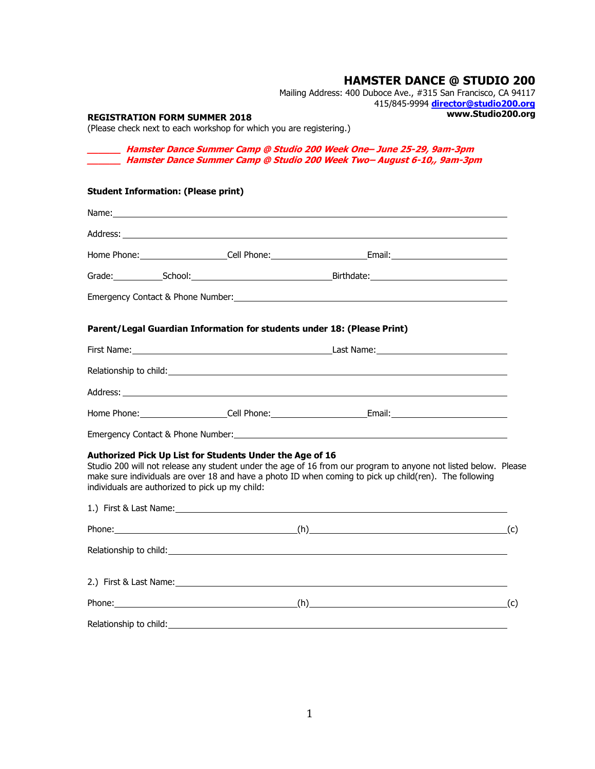# **HAMSTER DANCE @ STUDIO 200**

Mailing Address: 400 Duboce Ave., #315 San Francisco, CA 94117 415/845-9994 **[director@studio200.org](mailto:director@studio200.org) www.Studio200.org**

#### **REGISTRATION FORM SUMMER 2018**

(Please check next to each workshop for which you are registering.)

**\_\_\_\_\_\_ Hamster Dance Summer Camp @ Studio 200 Week One– June 25-29, 9am-3pm \_\_\_\_\_\_ Hamster Dance Summer Camp @ Studio 200 Week Two– August 6-10,, 9am-3pm**

## **Student Information: (Please print)**

|                                                                                                             | Emergency Contact & Phone Number: University of the Contract of the Contract of the Contract of the Contract of                                                                                                                |  |
|-------------------------------------------------------------------------------------------------------------|--------------------------------------------------------------------------------------------------------------------------------------------------------------------------------------------------------------------------------|--|
| Parent/Legal Guardian Information for students under 18: (Please Print)                                     |                                                                                                                                                                                                                                |  |
|                                                                                                             |                                                                                                                                                                                                                                |  |
|                                                                                                             |                                                                                                                                                                                                                                |  |
|                                                                                                             |                                                                                                                                                                                                                                |  |
|                                                                                                             |                                                                                                                                                                                                                                |  |
|                                                                                                             |                                                                                                                                                                                                                                |  |
| Authorized Pick Up List for Students Under the Age of 16<br>individuals are authorized to pick up my child: | Studio 200 will not release any student under the age of 16 from our program to anyone not listed below. Please<br>make sure individuals are over 18 and have a photo ID when coming to pick up child(ren). The following      |  |
|                                                                                                             |                                                                                                                                                                                                                                |  |
|                                                                                                             |                                                                                                                                                                                                                                |  |
|                                                                                                             |                                                                                                                                                                                                                                |  |
|                                                                                                             |                                                                                                                                                                                                                                |  |
|                                                                                                             |                                                                                                                                                                                                                                |  |
|                                                                                                             | Relationship to child: example and a series of the series of the series of the series of the series of the series of the series of the series of the series of the series of the series of the series of the series of the ser |  |
|                                                                                                             |                                                                                                                                                                                                                                |  |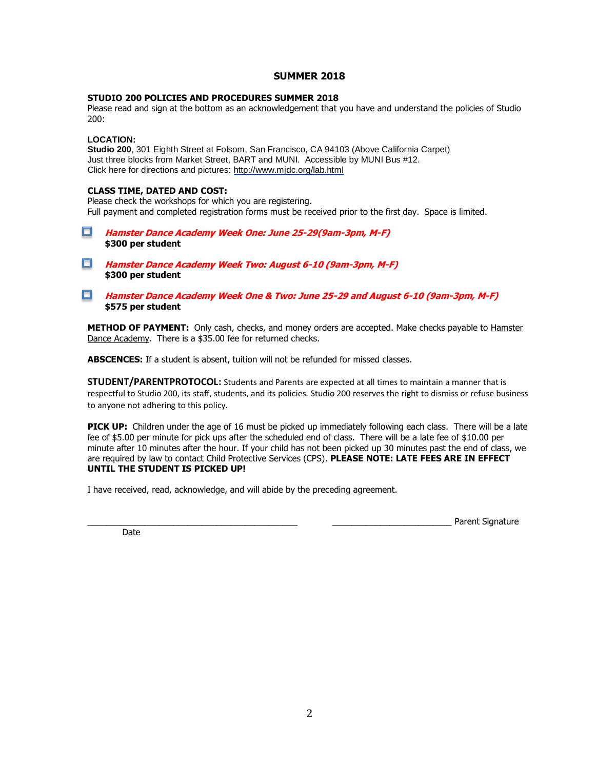### **SUMMER 2018**

#### **STUDIO 200 POLICIES AND PROCEDURES SUMMER 2018**

Please read and sign at the bottom as an acknowledgement that you have and understand the policies of Studio 200:

#### **LOCATION:**

**Studio 200**, 301 Eighth Street at Folsom, San Francisco, CA 94103 (Above California Carpet) Just three blocks from Market Street, BART and MUNI. Accessible by MUNI Bus #12. Click here for directions and pictures:<http://www.mjdc.org/lab.html>

#### **CLASS TIME, DATED AND COST:**

Please check the workshops for which you are registering. Full payment and completed registration forms must be received prior to the first day. Space is limited.

- п **Hamster Dance Academy Week One: June 25-29(9am-3pm, M-F) \$300 per student**
- 0 **Hamster Dance Academy Week Two: August 6-10 (9am-3pm, M-F) \$300 per student**

#### **Hamster Dance Academy Week One & Two: June 25-29 and August 6-10 (9am-3pm, M-F) \$575 per student**

**METHOD OF PAYMENT:** Only cash, checks, and money orders are accepted. Make checks payable to Hamster Dance Academy.There is a \$35.00 fee for returned checks.

**ABSCENCES:** If a student is absent, tuition will not be refunded for missed classes.

**STUDENT/PARENTPROTOCOL:** Students and Parents are expected at all times to maintain a manner that is respectful to Studio 200, its staff, students, and its policies. Studio 200 reserves the right to dismiss or refuse business to anyone not adhering to this policy.

**PICK UP:** Children under the age of 16 must be picked up immediately following each class. There will be a late fee of \$5.00 per minute for pick ups after the scheduled end of class. There will be a late fee of \$10.00 per minute after 10 minutes after the hour. If your child has not been picked up 30 minutes past the end of class, we are required by law to contact Child Protective Services (CPS). **PLEASE NOTE: LATE FEES ARE IN EFFECT UNTIL THE STUDENT IS PICKED UP!**

I have received, read, acknowledge, and will abide by the preceding agreement.

Date

Parent Signature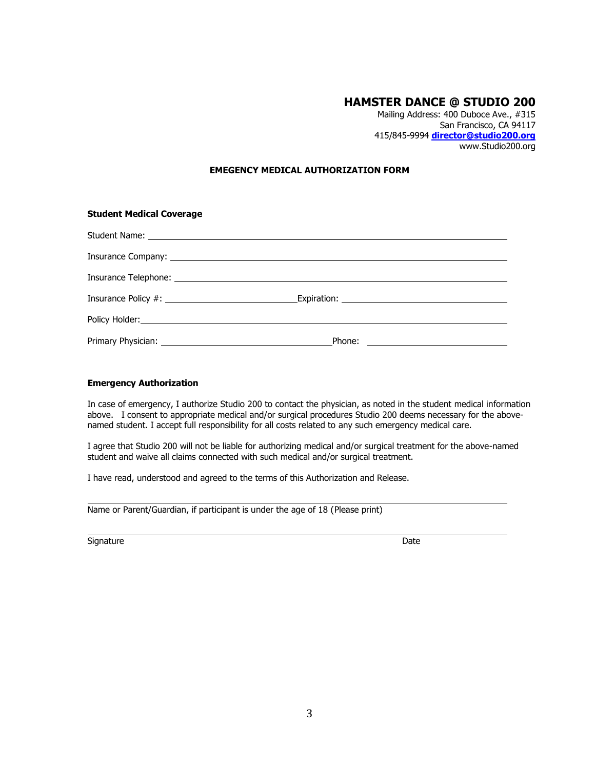# **HAMSTER DANCE @ STUDIO 200**

Mailing Address: 400 Duboce Ave., #315 San Francisco, CA 94117 415/845-9994 **[director@studio200.org](mailto:director@studio200.org)** www.Studio200.org

#### **EMEGENCY MEDICAL AUTHORIZATION FORM**

| <b>Student Medical Coverage</b> |  |  |  |  |
|---------------------------------|--|--|--|--|
|                                 |  |  |  |  |
|                                 |  |  |  |  |
|                                 |  |  |  |  |
|                                 |  |  |  |  |
|                                 |  |  |  |  |
|                                 |  |  |  |  |

#### **Emergency Authorization**

In case of emergency, I authorize Studio 200 to contact the physician, as noted in the student medical information above. I consent to appropriate medical and/or surgical procedures Studio 200 deems necessary for the abovenamed student. I accept full responsibility for all costs related to any such emergency medical care.

I agree that Studio 200 will not be liable for authorizing medical and/or surgical treatment for the above-named student and waive all claims connected with such medical and/or surgical treatment.

I have read, understood and agreed to the terms of this Authorization and Release.

Name or Parent/Guardian, if participant is under the age of 18 (Please print)

Signature Date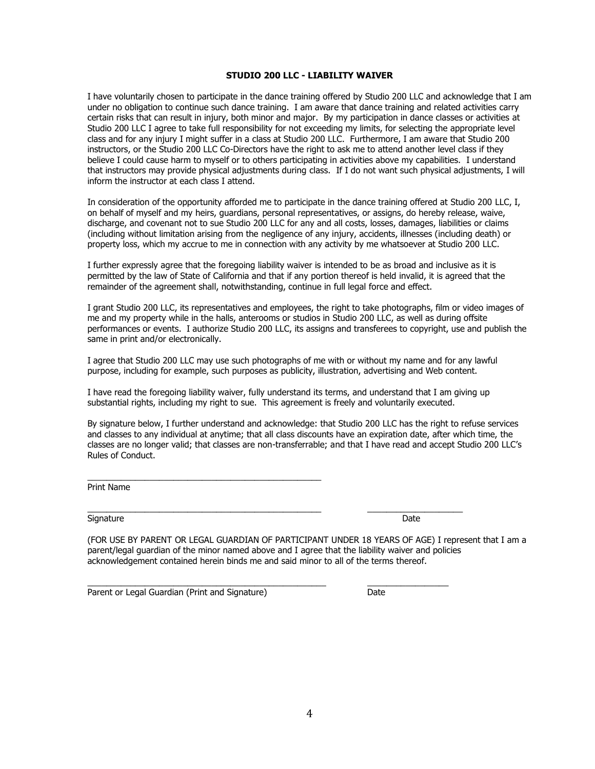#### **STUDIO 200 LLC - LIABILITY WAIVER**

I have voluntarily chosen to participate in the dance training offered by Studio 200 LLC and acknowledge that I am under no obligation to continue such dance training. I am aware that dance training and related activities carry certain risks that can result in injury, both minor and major. By my participation in dance classes or activities at Studio 200 LLC I agree to take full responsibility for not exceeding my limits, for selecting the appropriate level class and for any injury I might suffer in a class at Studio 200 LLC. Furthermore, I am aware that Studio 200 instructors, or the Studio 200 LLC Co-Directors have the right to ask me to attend another level class if they believe I could cause harm to myself or to others participating in activities above my capabilities. I understand that instructors may provide physical adjustments during class. If I do not want such physical adjustments, I will inform the instructor at each class I attend.

In consideration of the opportunity afforded me to participate in the dance training offered at Studio 200 LLC, I, on behalf of myself and my heirs, guardians, personal representatives, or assigns, do hereby release, waive, discharge, and covenant not to sue Studio 200 LLC for any and all costs, losses, damages, liabilities or claims (including without limitation arising from the negligence of any injury, accidents, illnesses (including death) or property loss, which my accrue to me in connection with any activity by me whatsoever at Studio 200 LLC.

I further expressly agree that the foregoing liability waiver is intended to be as broad and inclusive as it is permitted by the law of State of California and that if any portion thereof is held invalid, it is agreed that the remainder of the agreement shall, notwithstanding, continue in full legal force and effect.

I grant Studio 200 LLC, its representatives and employees, the right to take photographs, film or video images of me and my property while in the halls, anterooms or studios in Studio 200 LLC, as well as during offsite performances or events. I authorize Studio 200 LLC, its assigns and transferees to copyright, use and publish the same in print and/or electronically.

I agree that Studio 200 LLC may use such photographs of me with or without my name and for any lawful purpose, including for example, such purposes as publicity, illustration, advertising and Web content.

I have read the foregoing liability waiver, fully understand its terms, and understand that I am giving up substantial rights, including my right to sue. This agreement is freely and voluntarily executed.

\_\_\_\_\_\_\_\_\_\_\_\_\_\_\_\_\_\_\_\_\_\_\_\_\_\_\_\_\_\_\_\_\_\_\_\_\_\_\_\_\_\_\_\_\_\_\_\_\_ \_\_\_\_\_\_\_\_\_\_\_\_\_\_\_\_\_\_\_\_

\_\_\_\_\_\_\_\_\_\_\_\_\_\_\_\_\_\_\_\_\_\_\_\_\_\_\_\_\_\_\_\_\_\_\_\_\_\_\_\_\_\_\_\_\_\_\_\_\_\_ \_\_\_\_\_\_\_\_\_\_\_\_\_\_\_\_\_

By signature below, I further understand and acknowledge: that Studio 200 LLC has the right to refuse services and classes to any individual at anytime; that all class discounts have an expiration date, after which time, the classes are no longer valid; that classes are non-transferrable; and that I have read and accept Studio 200 LLC's Rules of Conduct.

Print Name

Signature Date Date Communications and the Communications of the Date Date

(FOR USE BY PARENT OR LEGAL GUARDIAN OF PARTICIPANT UNDER 18 YEARS OF AGE) I represent that I am a parent/legal guardian of the minor named above and I agree that the liability waiver and policies acknowledgement contained herein binds me and said minor to all of the terms thereof.

Parent or Legal Guardian (Print and Signature) Date

\_\_\_\_\_\_\_\_\_\_\_\_\_\_\_\_\_\_\_\_\_\_\_\_\_\_\_\_\_\_\_\_\_\_\_\_\_\_\_\_\_\_\_\_\_\_\_\_\_